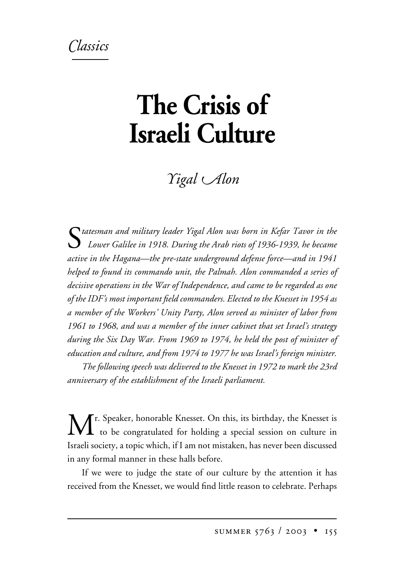## *lassics*

## **The Crisis of Israeli Culture**

*igal -lon*

S*tatesman and military leader Yigal Alon was born in Kefar Tavor in the Lower Galilee in 1918. During the Arab riots of 1936-1939, he became active in the Hagana—the pre-state underground defense force—and in 1941 helped to found its commando unit, the Palmah. Alon commanded a series of decisive operations in the War of Independence, and came to be regarded as one of the IDF's most important field commanders. Elected to the Knesset in 1954 as a member of the Workers' Unity Party, Alon served as minister of labor from 1961 to 1968, and was a member of the inner cabinet that set Israel's strategy during the Six Day War. From 1969 to 1974, he held the post of minister of education and culture, and from 1974 to 1977 he was Israel's foreign minister.*

*The following speech was delivered to the Knesset in 1972 to mark the 23rd anniversary of the establishment of the Israeli parliament.*

M<sup>r. Speaker, honorable Knesset. On this, its birthday, the Knesset is</sup>  $\mathbf I$  to be congratulated for holding a special session on culture in Israeli society, a topic which, if I am not mistaken, has never been discussed in any formal manner in these halls before.

If we were to judge the state of our culture by the attention it has received from the Knesset, we would find little reason to celebrate. Perhaps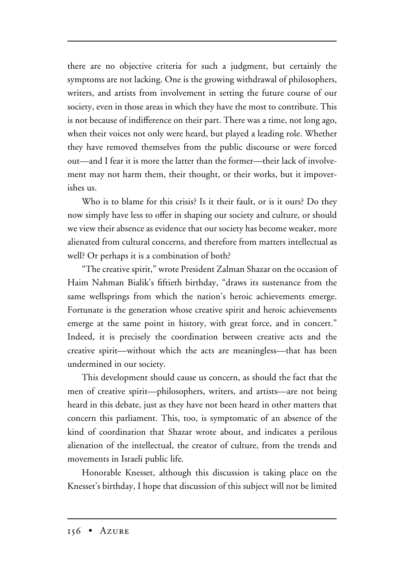there are no objective criteria for such a judgment, but certainly the symptoms are not lacking. One is the growing withdrawal of philosophers, writers, and artists from involvement in setting the future course of our society, even in those areas in which they have the most to contribute. This is not because of indifference on their part. There was a time, not long ago, when their voices not only were heard, but played a leading role. Whether they have removed themselves from the public discourse or were forced out—and I fear it is more the latter than the former—their lack of involvement may not harm them, their thought, or their works, but it impoverishes us.

Who is to blame for this crisis? Is it their fault, or is it ours? Do they now simply have less to offer in shaping our society and culture, or should we view their absence as evidence that our society has become weaker, more alienated from cultural concerns, and therefore from matters intellectual as well? Or perhaps it is a combination of both?

"The creative spirit," wrote President Zalman Shazar on the occasion of Haim Nahman Bialik's fiftieth birthday, "draws its sustenance from the same wellsprings from which the nation's heroic achievements emerge. Fortunate is the generation whose creative spirit and heroic achievements emerge at the same point in history, with great force, and in concert." Indeed, it is precisely the coordination between creative acts and the creative spirit—without which the acts are meaningless—that has been undermined in our society.

This development should cause us concern, as should the fact that the men of creative spirit—philosophers, writers, and artists—are not being heard in this debate, just as they have not been heard in other matters that concern this parliament. This, too, is symptomatic of an absence of the kind of coordination that Shazar wrote about, and indicates a perilous alienation of the intellectual, the creator of culture, from the trends and movements in Israeli public life.

Honorable Knesset, although this discussion is taking place on the Knesset's birthday, I hope that discussion of this subject will not be limited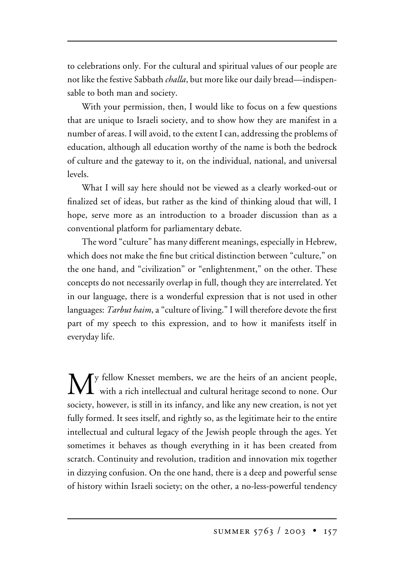to celebrations only. For the cultural and spiritual values of our people are not like the festive Sabbath *challa*, but more like our daily bread—indispensable to both man and society.

With your permission, then, I would like to focus on a few questions that are unique to Israeli society, and to show how they are manifest in a number of areas. I will avoid, to the extent I can, addressing the problems of education, although all education worthy of the name is both the bedrock of culture and the gateway to it, on the individual, national, and universal levels.

What I will say here should not be viewed as a clearly worked-out or finalized set of ideas, but rather as the kind of thinking aloud that will, I hope, serve more as an introduction to a broader discussion than as a conventional platform for parliamentary debate.

The word "culture" has many different meanings, especially in Hebrew, which does not make the fine but critical distinction between "culture," on the one hand, and "civilization" or "enlightenment," on the other. These concepts do not necessarily overlap in full, though they are interrelated. Yet in our language, there is a wonderful expression that is not used in other languages: *Tarbut haim*, a "culture of living." I will therefore devote the first part of my speech to this expression, and to how it manifests itself in everyday life.

 $\sum_{\text{with } a \text{ such } i \in \mathbb{N}}$  with  $\sum_{\text{with } a \text{ such that } i \in \mathbb{N}}$ with a rich intellectual and cultural heritage second to none. Our society, however, is still in its infancy, and like any new creation, is not yet fully formed. It sees itself, and rightly so, as the legitimate heir to the entire intellectual and cultural legacy of the Jewish people through the ages. Yet sometimes it behaves as though everything in it has been created from scratch. Continuity and revolution, tradition and innovation mix together in dizzying confusion. On the one hand, there is a deep and powerful sense of history within Israeli society; on the other, a no-less-powerful tendency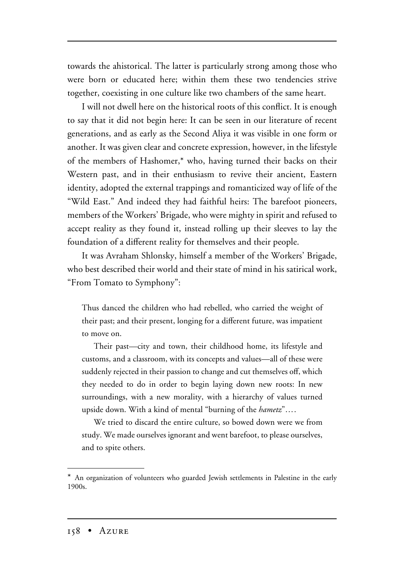towards the ahistorical. The latter is particularly strong among those who were born or educated here; within them these two tendencies strive together, coexisting in one culture like two chambers of the same heart.

I will not dwell here on the historical roots of this conflict. It is enough to say that it did not begin here: It can be seen in our literature of recent generations, and as early as the Second Aliya it was visible in one form or another. It was given clear and concrete expression, however, in the lifestyle of the members of Hashomer,\* who, having turned their backs on their Western past, and in their enthusiasm to revive their ancient, Eastern identity, adopted the external trappings and romanticized way of life of the "Wild East." And indeed they had faithful heirs: The barefoot pioneers, members of the Workers' Brigade, who were mighty in spirit and refused to accept reality as they found it, instead rolling up their sleeves to lay the foundation of a different reality for themselves and their people.

It was Avraham Shlonsky, himself a member of the Workers' Brigade, who best described their world and their state of mind in his satirical work, "From Tomato to Symphony":

Thus danced the children who had rebelled, who carried the weight of their past; and their present, longing for a different future, was impatient to move on.

Their past—city and town, their childhood home, its lifestyle and customs, and a classroom, with its concepts and values—all of these were suddenly rejected in their passion to change and cut themselves off, which they needed to do in order to begin laying down new roots: In new surroundings, with a new morality, with a hierarchy of values turned upside down. With a kind of mental "burning of the *hametz*"….

We tried to discard the entire culture, so bowed down were we from study. We made ourselves ignorant and went barefoot, to please ourselves, and to spite others.

<sup>\*</sup> An organization of volunteers who guarded Jewish settlements in Palestine in the early 1900s.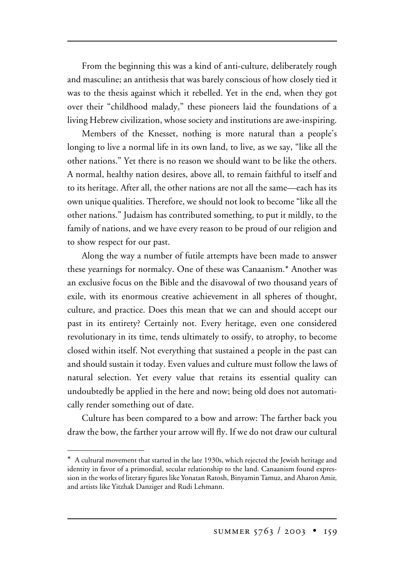From the beginning this was a kind of anti-culture, deliberately rough and masculine; an antithesis that was barely conscious of how closely tied it was to the thesis against which it rebelled. Yet in the end, when they got over their "childhood malady," these pioneers laid the foundations of a living Hebrew civilization, whose society and institutions are awe-inspiring.

Members of the Knesset, nothing is more natural than a people's longing to live a normal life in its own land, to live, as we say, "like all the other nations." Yet there is no reason we should want to be like the others. A normal, healthy nation desires, above all, to remain faithful to itself and to its heritage. After all, the other nations are not all the same—each has its own unique qualities. Therefore, we should not look to become "like all the other nations." Judaism has contributed something, to put it mildly, to the family of nations, and we have every reason to be proud of our religion and to show respect for our past.

Along the way a number of futile attempts have been made to answer these yearnings for normalcy. One of these was Canaanism.\* Another was an exclusive focus on the Bible and the disavowal of two thousand years of exile, with its enormous creative achievement in all spheres of thought, culture, and practice. Does this mean that we can and should accept our past in its entirety? Certainly not. Every heritage, even one considered revolutionary in its time, tends ultimately to ossify, to atrophy, to become closed within itself. Not everything that sustained a people in the past can and should sustain it today. Even values and culture must follow the laws of natural selection. Yet every value that retains its essential quality can undoubtedly be applied in the here and now; being old does not automatically render something out of date.

Culture has been compared to a bow and arrow: The farther back you draw the bow, the farther your arrow will fly. If we do not draw our cultural

<sup>\*</sup> A cultural movement that started in the late 1930s, which rejected the Jewish heritage and identity in favor of a primordial, secular relationship to the land. Canaanism found expression in the works of literary figures like Yonatan Ratosh, Binyamin Tamuz, and Aharon Amir, and artists like Yitzhak Danziger and Rudi Lehmann.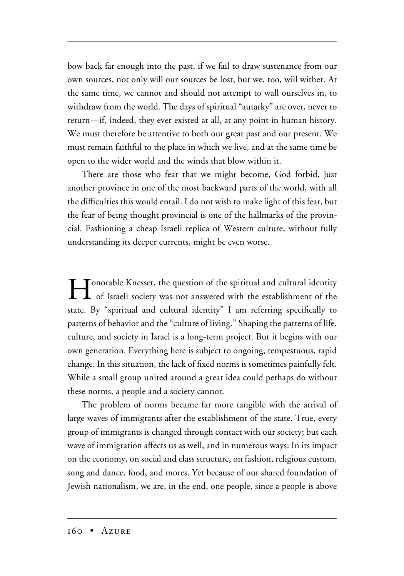bow back far enough into the past, if we fail to draw sustenance from our own sources, not only will our sources be lost, but we, too, will wither. At the same time, we cannot and should not attempt to wall ourselves in, to withdraw from the world. The days of spiritual "autarky" are over, never to return—if, indeed, they ever existed at all, at any point in human history. We must therefore be attentive to both our great past and our present. We must remain faithful to the place in which we live, and at the same time be open to the wider world and the winds that blow within it.

There are those who fear that we might become, God forbid, just another province in one of the most backward parts of the world, with all the difficulties this would entail. I do not wish to make light of this fear, but the fear of being thought provincial is one of the hallmarks of the provincial. Fashioning a cheap Israeli replica of Western culture, without fully understanding its deeper currents, might be even worse.

I Conorable Knesset, the question of the spiritual and cultural identity<br>of Israeli society was not answered with the establishment of the state. By "spiritual and cultural identity" I am referring specifically to patterns of behavior and the "culture of living." Shaping the patterns of life, culture, and society in Israel is a long-term project. But it begins with our own generation. Everything here is subject to ongoing, tempestuous, rapid change. In this situation, the lack of fixed norms is sometimes painfully felt. While a small group united around a great idea could perhaps do without these norms, a people and a society cannot.

The problem of norms became far more tangible with the arrival of large waves of immigrants after the establishment of the state. True, every group of immigrants is changed through contact with our society; but each wave of immigration affects us as well, and in numerous ways: In its impact on the economy, on social and class structure, on fashion, religious custom, song and dance, food, and mores. Yet because of our shared foundation of Jewish nationalism, we are, in the end, one people, since a people is above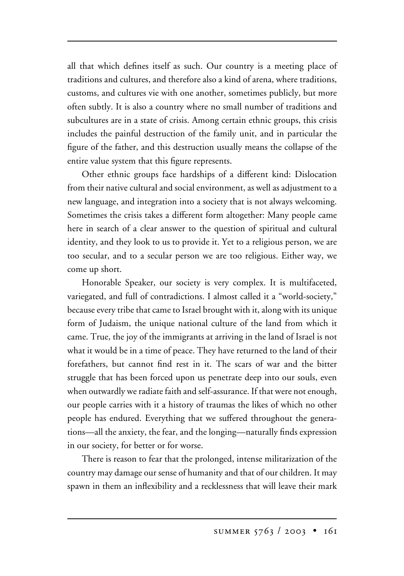all that which defines itself as such. Our country is a meeting place of traditions and cultures, and therefore also a kind of arena, where traditions, customs, and cultures vie with one another, sometimes publicly, but more often subtly. It is also a country where no small number of traditions and subcultures are in a state of crisis. Among certain ethnic groups, this crisis includes the painful destruction of the family unit, and in particular the figure of the father, and this destruction usually means the collapse of the entire value system that this figure represents.

Other ethnic groups face hardships of a different kind: Dislocation from their native cultural and social environment, as well as adjustment to a new language, and integration into a society that is not always welcoming. Sometimes the crisis takes a different form altogether: Many people came here in search of a clear answer to the question of spiritual and cultural identity, and they look to us to provide it. Yet to a religious person, we are too secular, and to a secular person we are too religious. Either way, we come up short.

Honorable Speaker, our society is very complex. It is multifaceted, variegated, and full of contradictions. I almost called it a "world-society," because every tribe that came to Israel brought with it, along with its unique form of Judaism, the unique national culture of the land from which it came. True, the joy of the immigrants at arriving in the land of Israel is not what it would be in a time of peace. They have returned to the land of their forefathers, but cannot find rest in it. The scars of war and the bitter struggle that has been forced upon us penetrate deep into our souls, even when outwardly we radiate faith and self-assurance. If that were not enough, our people carries with it a history of traumas the likes of which no other people has endured. Everything that we suffered throughout the generations—all the anxiety, the fear, and the longing—naturally finds expression in our society, for better or for worse.

There is reason to fear that the prolonged, intense militarization of the country may damage our sense of humanity and that of our children. It may spawn in them an inflexibility and a recklessness that will leave their mark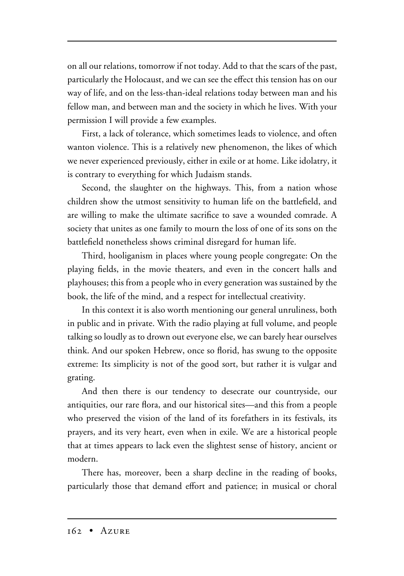on all our relations, tomorrow if not today. Add to that the scars of the past, particularly the Holocaust, and we can see the effect this tension has on our way of life, and on the less-than-ideal relations today between man and his fellow man, and between man and the society in which he lives. With your permission I will provide a few examples.

First, a lack of tolerance, which sometimes leads to violence, and often wanton violence. This is a relatively new phenomenon, the likes of which we never experienced previously, either in exile or at home. Like idolatry, it is contrary to everything for which Judaism stands.

Second, the slaughter on the highways. This, from a nation whose children show the utmost sensitivity to human life on the battlefield, and are willing to make the ultimate sacrifice to save a wounded comrade. A society that unites as one family to mourn the loss of one of its sons on the battlefield nonetheless shows criminal disregard for human life.

Third, hooliganism in places where young people congregate: On the playing fields, in the movie theaters, and even in the concert halls and playhouses; this from a people who in every generation was sustained by the book, the life of the mind, and a respect for intellectual creativity.

In this context it is also worth mentioning our general unruliness, both in public and in private. With the radio playing at full volume, and people talking so loudly as to drown out everyone else, we can barely hear ourselves think. And our spoken Hebrew, once so florid, has swung to the opposite extreme: Its simplicity is not of the good sort, but rather it is vulgar and grating.

And then there is our tendency to desecrate our countryside, our antiquities, our rare flora, and our historical sites—and this from a people who preserved the vision of the land of its forefathers in its festivals, its prayers, and its very heart, even when in exile. We are a historical people that at times appears to lack even the slightest sense of history, ancient or modern.

There has, moreover, been a sharp decline in the reading of books, particularly those that demand effort and patience; in musical or choral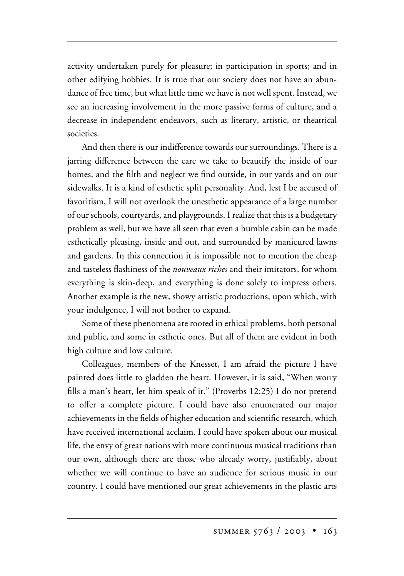activity undertaken purely for pleasure; in participation in sports; and in other edifying hobbies. It is true that our society does not have an abundance of free time, but what little time we have is not well spent. Instead, we see an increasing involvement in the more passive forms of culture, and a decrease in independent endeavors, such as literary, artistic, or theatrical societies.

And then there is our indifference towards our surroundings. There is a jarring difference between the care we take to beautify the inside of our homes, and the filth and neglect we find outside, in our yards and on our sidewalks. It is a kind of esthetic split personality. And, lest I be accused of favoritism, I will not overlook the unesthetic appearance of a large number of our schools, courtyards, and playgrounds. I realize that this is a budgetary problem as well, but we have all seen that even a humble cabin can be made esthetically pleasing, inside and out, and surrounded by manicured lawns and gardens. In this connection it is impossible not to mention the cheap and tasteless flashiness of the *nouveaux riches* and their imitators, for whom everything is skin-deep, and everything is done solely to impress others. Another example is the new, showy artistic productions, upon which, with your indulgence, I will not bother to expand.

Some of these phenomena are rooted in ethical problems, both personal and public, and some in esthetic ones. But all of them are evident in both high culture and low culture.

Colleagues, members of the Knesset, I am afraid the picture I have painted does little to gladden the heart. However, it is said, "When worry fills a man's heart, let him speak of it." (Proverbs 12:25) I do not pretend to offer a complete picture. I could have also enumerated our major achievements in the fields of higher education and scientific research, which have received international acclaim. I could have spoken about our musical life, the envy of great nations with more continuous musical traditions than our own, although there are those who already worry, justifiably, about whether we will continue to have an audience for serious music in our country. I could have mentioned our great achievements in the plastic arts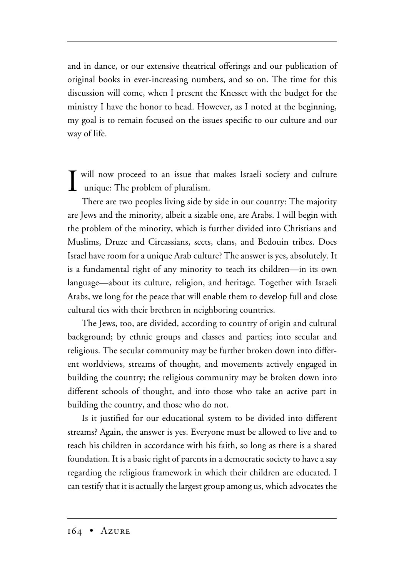and in dance, or our extensive theatrical offerings and our publication of original books in ever-increasing numbers, and so on. The time for this discussion will come, when I present the Knesset with the budget for the ministry I have the honor to head. However, as I noted at the beginning, my goal is to remain focused on the issues specific to our culture and our way of life.

**I** will now proceed to an issue that unique: The problem of pluralism. will now proceed to an issue that makes Israeli society and culture

There are two peoples living side by side in our country: The majority are Jews and the minority, albeit a sizable one, are Arabs. I will begin with the problem of the minority, which is further divided into Christians and Muslims, Druze and Circassians, sects, clans, and Bedouin tribes. Does Israel have room for a unique Arab culture? The answer is yes, absolutely. It is a fundamental right of any minority to teach its children—in its own language—about its culture, religion, and heritage. Together with Israeli Arabs, we long for the peace that will enable them to develop full and close cultural ties with their brethren in neighboring countries.

The Jews, too, are divided, according to country of origin and cultural background; by ethnic groups and classes and parties; into secular and religious. The secular community may be further broken down into different worldviews, streams of thought, and movements actively engaged in building the country; the religious community may be broken down into different schools of thought, and into those who take an active part in building the country, and those who do not.

Is it justified for our educational system to be divided into different streams? Again, the answer is yes. Everyone must be allowed to live and to teach his children in accordance with his faith, so long as there is a shared foundation. It is a basic right of parents in a democratic society to have a say regarding the religious framework in which their children are educated. I can testify that it is actually the largest group among us, which advocates the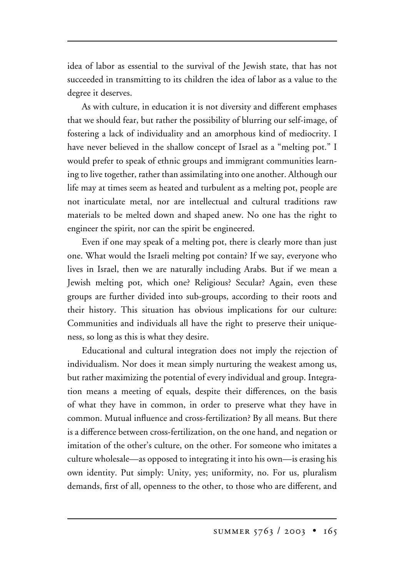idea of labor as essential to the survival of the Jewish state, that has not succeeded in transmitting to its children the idea of labor as a value to the degree it deserves.

As with culture, in education it is not diversity and different emphases that we should fear, but rather the possibility of blurring our self-image, of fostering a lack of individuality and an amorphous kind of mediocrity. I have never believed in the shallow concept of Israel as a "melting pot." I would prefer to speak of ethnic groups and immigrant communities learning to live together, rather than assimilating into one another. Although our life may at times seem as heated and turbulent as a melting pot, people are not inarticulate metal, nor are intellectual and cultural traditions raw materials to be melted down and shaped anew. No one has the right to engineer the spirit, nor can the spirit be engineered.

Even if one may speak of a melting pot, there is clearly more than just one. What would the Israeli melting pot contain? If we say, everyone who lives in Israel, then we are naturally including Arabs. But if we mean a Jewish melting pot, which one? Religious? Secular? Again, even these groups are further divided into sub-groups, according to their roots and their history. This situation has obvious implications for our culture: Communities and individuals all have the right to preserve their uniqueness, so long as this is what they desire.

Educational and cultural integration does not imply the rejection of individualism. Nor does it mean simply nurturing the weakest among us, but rather maximizing the potential of every individual and group. Integration means a meeting of equals, despite their differences, on the basis of what they have in common, in order to preserve what they have in common. Mutual influence and cross-fertilization? By all means. But there is a difference between cross-fertilization, on the one hand, and negation or imitation of the other's culture, on the other. For someone who imitates a culture wholesale—as opposed to integrating it into his own—is erasing his own identity. Put simply: Unity, yes; uniformity, no. For us, pluralism demands, first of all, openness to the other, to those who are different, and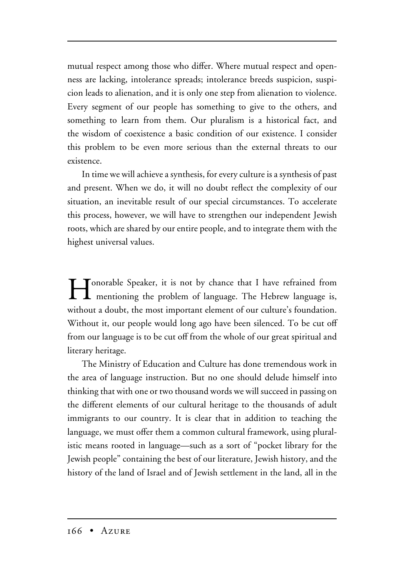mutual respect among those who differ. Where mutual respect and openness are lacking, intolerance spreads; intolerance breeds suspicion, suspicion leads to alienation, and it is only one step from alienation to violence. Every segment of our people has something to give to the others, and something to learn from them. Our pluralism is a historical fact, and the wisdom of coexistence a basic condition of our existence. I consider this problem to be even more serious than the external threats to our existence.

In time we will achieve a synthesis, for every culture is a synthesis of past and present. When we do, it will no doubt reflect the complexity of our situation, an inevitable result of our special circumstances. To accelerate this process, however, we will have to strengthen our independent Jewish roots, which are shared by our entire people, and to integrate them with the highest universal values.

I contrable Speaker, it is not by chance that I have refrained from mentioning the problem of language. The Hebrew language is, without a doubt, the most important element of our culture's foundation. Without it, our people would long ago have been silenced. To be cut off from our language is to be cut off from the whole of our great spiritual and literary heritage.

The Ministry of Education and Culture has done tremendous work in the area of language instruction. But no one should delude himself into thinking that with one or two thousand words we will succeed in passing on the different elements of our cultural heritage to the thousands of adult immigrants to our country. It is clear that in addition to teaching the language, we must offer them a common cultural framework, using pluralistic means rooted in language—such as a sort of "pocket library for the Jewish people" containing the best of our literature, Jewish history, and the history of the land of Israel and of Jewish settlement in the land, all in the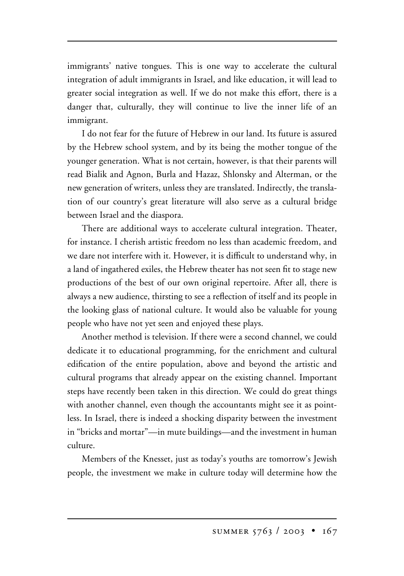immigrants' native tongues. This is one way to accelerate the cultural integration of adult immigrants in Israel, and like education, it will lead to greater social integration as well. If we do not make this effort, there is a danger that, culturally, they will continue to live the inner life of an immigrant.

I do not fear for the future of Hebrew in our land. Its future is assured by the Hebrew school system, and by its being the mother tongue of the younger generation. What is not certain, however, is that their parents will read Bialik and Agnon, Burla and Hazaz, Shlonsky and Alterman, or the new generation of writers, unless they are translated. Indirectly, the translation of our country's great literature will also serve as a cultural bridge between Israel and the diaspora.

There are additional ways to accelerate cultural integration. Theater, for instance. I cherish artistic freedom no less than academic freedom, and we dare not interfere with it. However, it is difficult to understand why, in a land of ingathered exiles, the Hebrew theater has not seen fit to stage new productions of the best of our own original repertoire. After all, there is always a new audience, thirsting to see a reflection of itself and its people in the looking glass of national culture. It would also be valuable for young people who have not yet seen and enjoyed these plays.

Another method is television. If there were a second channel, we could dedicate it to educational programming, for the enrichment and cultural edification of the entire population, above and beyond the artistic and cultural programs that already appear on the existing channel. Important steps have recently been taken in this direction. We could do great things with another channel, even though the accountants might see it as pointless. In Israel, there is indeed a shocking disparity between the investment in "bricks and mortar"—in mute buildings—and the investment in human culture.

Members of the Knesset, just as today's youths are tomorrow's Jewish people, the investment we make in culture today will determine how the